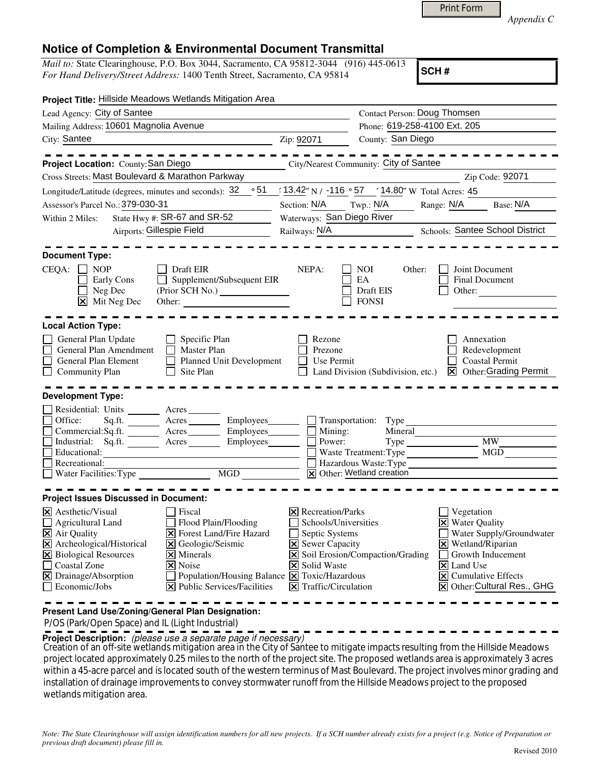*Appendix C* 

## **Notice of Completion & Environmental Document Transmittal**

*Mail to:* State Clearinghouse, P.O. Box 3044, Sacramento, CA 95812-3044 (916) 445-0613 *For Hand Delivery/Street Address:* 1400 Tenth Street, Sacramento, CA 95814

**SCH #**

| Project Title: Hillside Meadows Wetlands Mitigation Area                                                                                                                                                                                                                                                                                                                                                                                                                                             |                                                                                                                      |                                                                                                                                                                                          |            |                                                                                                                                                                                                               |  |  |
|------------------------------------------------------------------------------------------------------------------------------------------------------------------------------------------------------------------------------------------------------------------------------------------------------------------------------------------------------------------------------------------------------------------------------------------------------------------------------------------------------|----------------------------------------------------------------------------------------------------------------------|------------------------------------------------------------------------------------------------------------------------------------------------------------------------------------------|------------|---------------------------------------------------------------------------------------------------------------------------------------------------------------------------------------------------------------|--|--|
| Lead Agency: City of Santee                                                                                                                                                                                                                                                                                                                                                                                                                                                                          |                                                                                                                      | <b>Contact Person: Doug Thomsen</b>                                                                                                                                                      |            |                                                                                                                                                                                                               |  |  |
| Mailing Address: 10601 Magnolia Avenue                                                                                                                                                                                                                                                                                                                                                                                                                                                               | Phone: 619-258-4100 Ext. 205                                                                                         |                                                                                                                                                                                          |            |                                                                                                                                                                                                               |  |  |
| City: Santee<br><u> 1989 - Johann Barnett, fransk politiker (d. 1989)</u>                                                                                                                                                                                                                                                                                                                                                                                                                            | Zip: 92071                                                                                                           | County: San Diego                                                                                                                                                                        |            |                                                                                                                                                                                                               |  |  |
|                                                                                                                                                                                                                                                                                                                                                                                                                                                                                                      |                                                                                                                      |                                                                                                                                                                                          |            |                                                                                                                                                                                                               |  |  |
| Project Location: County: San Diego                                                                                                                                                                                                                                                                                                                                                                                                                                                                  |                                                                                                                      | City/Nearest Community: City of Santee                                                                                                                                                   |            |                                                                                                                                                                                                               |  |  |
| Cross Streets: Mast Boulevard & Marathon Parkway                                                                                                                                                                                                                                                                                                                                                                                                                                                     |                                                                                                                      |                                                                                                                                                                                          |            | Zip Code: 92071                                                                                                                                                                                               |  |  |
|                                                                                                                                                                                                                                                                                                                                                                                                                                                                                                      | $\frac{1}{2}$ 13.42" N / -116 $\degree$ 57 / 14.80" W Total Acres: 45                                                |                                                                                                                                                                                          |            |                                                                                                                                                                                                               |  |  |
| Assessor's Parcel No.: 379-030-31                                                                                                                                                                                                                                                                                                                                                                                                                                                                    | Section: $N/A$ Twp.: $N/A$                                                                                           |                                                                                                                                                                                          | Range: N/A | Base: N/A                                                                                                                                                                                                     |  |  |
| State Hwy #: SR-67 and SR-52<br>Within 2 Miles:                                                                                                                                                                                                                                                                                                                                                                                                                                                      | Waterways: San Diego River                                                                                           |                                                                                                                                                                                          |            |                                                                                                                                                                                                               |  |  |
| Airports: Gillespie Field                                                                                                                                                                                                                                                                                                                                                                                                                                                                            | Railways: $N/A$                                                                                                      |                                                                                                                                                                                          |            | Schools: Santee School District                                                                                                                                                                               |  |  |
| <b>Document Type:</b><br>$CEQA: \Box NOP$<br>Draft EIR<br>NEPA:<br>NOI<br>Other:<br>Joint Document<br>$\Box$ Supplement/Subsequent EIR<br>EA<br>Final Document<br>Early Cons                                                                                                                                                                                                                                                                                                                         |                                                                                                                      |                                                                                                                                                                                          |            |                                                                                                                                                                                                               |  |  |
| Neg Dec<br>$\boxed{\mathsf{X}}$ Mit Neg Dec<br>Other:                                                                                                                                                                                                                                                                                                                                                                                                                                                |                                                                                                                      | Draft EIS<br><b>FONSI</b>                                                                                                                                                                | Other:     |                                                                                                                                                                                                               |  |  |
|                                                                                                                                                                                                                                                                                                                                                                                                                                                                                                      |                                                                                                                      |                                                                                                                                                                                          |            |                                                                                                                                                                                                               |  |  |
| <b>Local Action Type:</b><br>General Plan Update<br>$\Box$ Specific Plan<br>П<br>General Plan Amendment<br>Master Plan<br>General Plan Element<br>$\Box$<br>Planned Unit Development<br>Community Plan<br>Site Plan<br><b>Development Type:</b>                                                                                                                                                                                                                                                      | Rezone<br>Prezone<br>Use Permit                                                                                      | Land Division (Subdivision, etc.)                                                                                                                                                        |            | Annexation<br>Redevelopment<br><b>Coastal Permit</b><br><b>X</b> Other: Grading Permit                                                                                                                        |  |  |
| Residential: Units _______ Acres ______<br>Sq.ft. ________ Acres _________ Employees________ __ Transportation: Type<br>Office:                                                                                                                                                                                                                                                                                                                                                                      |                                                                                                                      |                                                                                                                                                                                          |            |                                                                                                                                                                                                               |  |  |
| $Commercial:Sq.fit.$ Acres Employees $\Box$ Mining:<br>Industrial: Sq.ft. _______ Acres ________ Employees_______  <br>Educational:<br>Recreational:                                                                                                                                                                                                                                                                                                                                                 | Mineral<br><b>MW</b><br>Power:<br>MGD<br>Waste Treatment: Type<br>Hazardous Waste: Type<br>X Other: Wetland creation |                                                                                                                                                                                          |            |                                                                                                                                                                                                               |  |  |
|                                                                                                                                                                                                                                                                                                                                                                                                                                                                                                      |                                                                                                                      |                                                                                                                                                                                          |            |                                                                                                                                                                                                               |  |  |
| <b>Project Issues Discussed in Document:</b><br>$\times$ Aesthetic/Visual<br>Fiscal<br>Flood Plain/Flooding<br>Agricultural Land<br>$\overline{\mathbf{X}}$ Air Quality<br><b>X</b> Forest Land/Fire Hazard<br>X Archeological/Historical<br>X Geologic/Seismic<br><b>X</b> Biological Resources<br>$\times$ Minerals<br>Coastal Zone<br>$\times$ Noise<br>X Drainage/Absorption<br>Population/Housing Balance $\boxed{\mathsf{X}}$ Toxic/Hazardous<br>Economic/Jobs<br>X Public Services/Facilities |                                                                                                                      | $\times$ Recreation/Parks<br>Schools/Universities<br>Septic Systems<br><b>X</b> Sewer Capacity<br>X Soil Erosion/Compaction/Grading<br><b>X</b> Solid Waste<br>$\Xi$ Traffic/Circulation |            | Vegetation<br><b>X</b> Water Quality<br>Water Supply/Groundwater<br>$\boxtimes$ Wetland/Riparian<br>Growth Inducement<br>X Land Use<br>$\boxed{\mathsf{X}}$ Cumulative Effects<br>X Other: Cultural Res., GHG |  |  |

**Present Land Use/Zoning/General Plan Designation:**

P/OS (Park/Open Space) and IL (Light Industrial)

**Project Description:** (please use a separate page if necessary)

 Creation of an off-site wetlands mitigation area in the City of Santee to mitigate impacts resulting from the Hillside Meadows project located approximately 0.25 miles to the north of the project site. The proposed wetlands area is approximately 3 acres within a 45-acre parcel and is located south of the western terminus of Mast Boulevard. The project involves minor grading and installation of drainage improvements to convey stormwater runoff from the Hillside Meadows project to the proposed wetlands mitigation area.

*Note: The State Clearinghouse will assign identification numbers for all new projects. If a SCH number already exists for a project (e.g. Notice of Preparation or previous draft document) please fill in.*